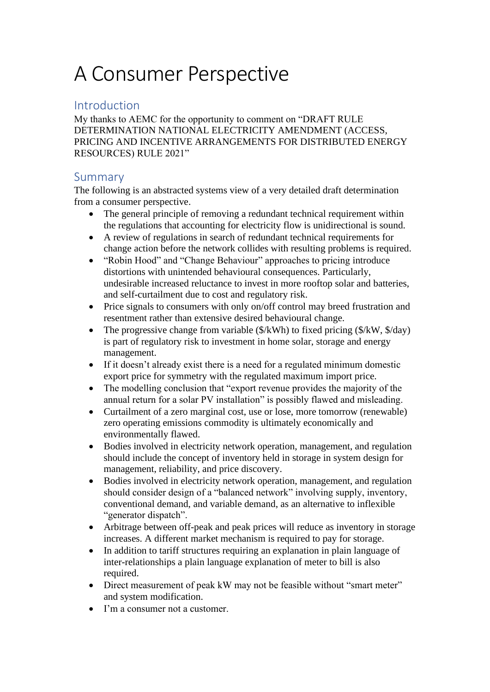# A Consumer Perspective

# Introduction

My thanks to AEMC for the opportunity to comment on "DRAFT RULE DETERMINATION NATIONAL ELECTRICITY AMENDMENT (ACCESS, PRICING AND INCENTIVE ARRANGEMENTS FOR DISTRIBUTED ENERGY RESOURCES) RULE 2021"

## Summary

The following is an abstracted systems view of a very detailed draft determination from a consumer perspective.

- The general principle of removing a redundant technical requirement within the regulations that accounting for electricity flow is unidirectional is sound.
- A review of regulations in search of redundant technical requirements for change action before the network collides with resulting problems is required.
- "Robin Hood" and "Change Behaviour" approaches to pricing introduce distortions with unintended behavioural consequences. Particularly, undesirable increased reluctance to invest in more rooftop solar and batteries, and self-curtailment due to cost and regulatory risk.
- Price signals to consumers with only on/off control may breed frustration and resentment rather than extensive desired behavioural change.
- The progressive change from variable  $(\frac{C}{KWh})$  to fixed pricing  $(\frac{C}{KWh}, \frac{C}{\sigma})$ is part of regulatory risk to investment in home solar, storage and energy management.
- If it doesn't already exist there is a need for a regulated minimum domestic export price for symmetry with the regulated maximum import price.
- The modelling conclusion that "export revenue provides the majority of the annual return for a solar PV installation" is possibly flawed and misleading.
- Curtailment of a zero marginal cost, use or lose, more tomorrow (renewable) zero operating emissions commodity is ultimately economically and environmentally flawed.
- Bodies involved in electricity network operation, management, and regulation should include the concept of inventory held in storage in system design for management, reliability, and price discovery.
- Bodies involved in electricity network operation, management, and regulation should consider design of a "balanced network" involving supply, inventory, conventional demand, and variable demand, as an alternative to inflexible "generator dispatch".
- Arbitrage between off-peak and peak prices will reduce as inventory in storage increases. A different market mechanism is required to pay for storage.
- In addition to tariff structures requiring an explanation in plain language of inter-relationships a plain language explanation of meter to bill is also required.
- Direct measurement of peak kW may not be feasible without "smart meter" and system modification.
- I'm a consumer not a customer.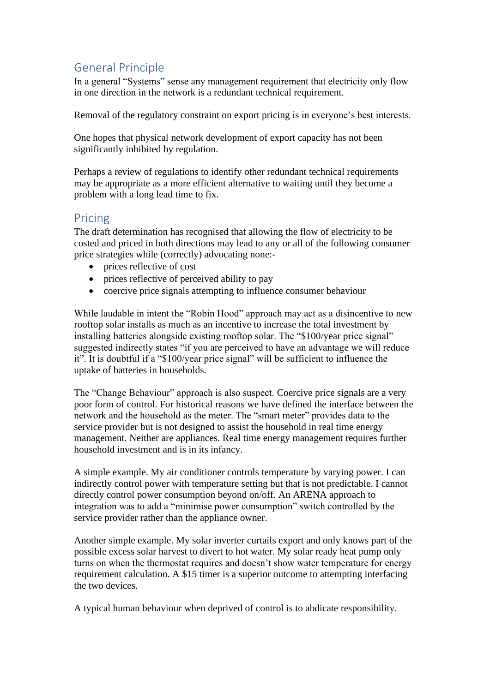# General Principle

In a general "Systems" sense any management requirement that electricity only flow in one direction in the network is a redundant technical requirement.

Removal of the regulatory constraint on export pricing is in everyone's best interests.

One hopes that physical network development of export capacity has not been significantly inhibited by regulation.

Perhaps a review of regulations to identify other redundant technical requirements may be appropriate as a more efficient alternative to waiting until they become a problem with a long lead time to fix.

# Pricing

The draft determination has recognised that allowing the flow of electricity to be costed and priced in both directions may lead to any or all of the following consumer price strategies while (correctly) advocating none:-

- prices reflective of cost
- prices reflective of perceived ability to pay
- coercive price signals attempting to influence consumer behaviour

While laudable in intent the "Robin Hood" approach may act as a disincentive to new rooftop solar installs as much as an incentive to increase the total investment by installing batteries alongside existing rooftop solar. The "\$100/year price signal" suggested indirectly states "if you are perceived to have an advantage we will reduce it". It is doubtful if a "\$100/year price signal" will be sufficient to influence the uptake of batteries in households.

The "Change Behaviour" approach is also suspect. Coercive price signals are a very poor form of control. For historical reasons we have defined the interface between the network and the household as the meter. The "smart meter" provides data to the service provider but is not designed to assist the household in real time energy management. Neither are appliances. Real time energy management requires further household investment and is in its infancy.

A simple example. My air conditioner controls temperature by varying power. I can indirectly control power with temperature setting but that is not predictable. I cannot directly control power consumption beyond on/off. An ARENA approach to integration was to add a "minimise power consumption" switch controlled by the service provider rather than the appliance owner.

Another simple example. My solar inverter curtails export and only knows part of the possible excess solar harvest to divert to hot water. My solar ready heat pump only turns on when the thermostat requires and doesn't show water temperature for energy requirement calculation. A \$15 timer is a superior outcome to attempting interfacing the two devices.

A typical human behaviour when deprived of control is to abdicate responsibility.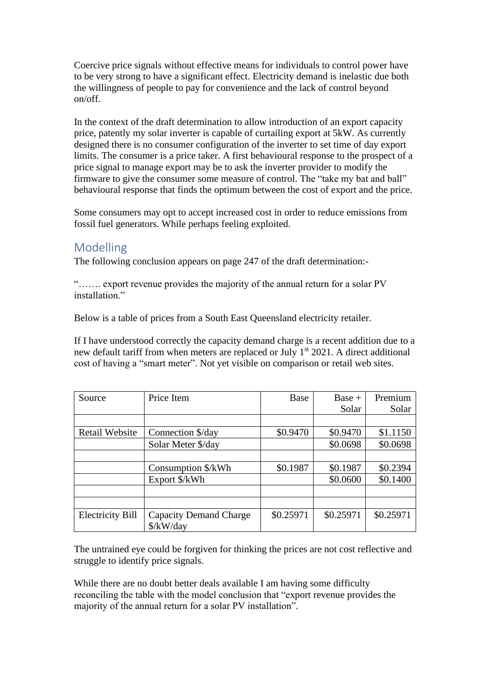Coercive price signals without effective means for individuals to control power have to be very strong to have a significant effect. Electricity demand is inelastic due both the willingness of people to pay for convenience and the lack of control beyond on/off.

In the context of the draft determination to allow introduction of an export capacity price, patently my solar inverter is capable of curtailing export at 5kW. As currently designed there is no consumer configuration of the inverter to set time of day export limits. The consumer is a price taker. A first behavioural response to the prospect of a price signal to manage export may be to ask the inverter provider to modify the firmware to give the consumer some measure of control. The "take my bat and ball" behavioural response that finds the optimum between the cost of export and the price.

Some consumers may opt to accept increased cost in order to reduce emissions from fossil fuel generators. While perhaps feeling exploited.

#### Modelling

The following conclusion appears on page 247 of the draft determination:-

"……. export revenue provides the majority of the annual return for a solar PV installation"

Below is a table of prices from a South East Queensland electricity retailer.

If I have understood correctly the capacity demand charge is a recent addition due to a new default tariff from when meters are replaced or July 1<sup>st</sup> 2021. A direct additional cost of having a "smart meter". Not yet visible on comparison or retail web sites.

| Source                  | Price Item                    | Base      | $Base +$  | Premium   |
|-------------------------|-------------------------------|-----------|-----------|-----------|
|                         |                               |           | Solar     | Solar     |
|                         |                               |           |           |           |
| <b>Retail Website</b>   | Connection \$/day             | \$0.9470  | \$0.9470  | \$1.1150  |
|                         | Solar Meter \$/day            |           | \$0.0698  | \$0.0698  |
|                         |                               |           |           |           |
|                         | Consumption \$/kWh            | \$0.1987  | \$0.1987  | \$0.2394  |
|                         | Export \$/kWh                 |           | \$0.0600  | \$0.1400  |
|                         |                               |           |           |           |
|                         |                               |           |           |           |
| <b>Electricity Bill</b> | <b>Capacity Demand Charge</b> | \$0.25971 | \$0.25971 | \$0.25971 |
|                         | \$/kW/day                     |           |           |           |

The untrained eye could be forgiven for thinking the prices are not cost reflective and struggle to identify price signals.

While there are no doubt better deals available I am having some difficulty reconciling the table with the model conclusion that "export revenue provides the majority of the annual return for a solar PV installation".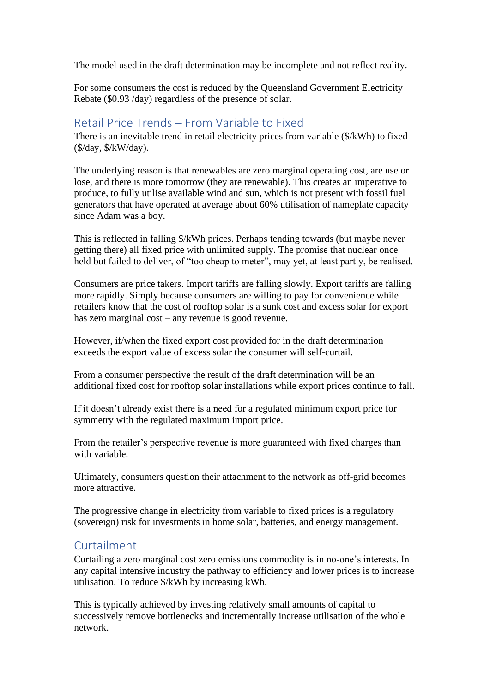The model used in the draft determination may be incomplete and not reflect reality.

For some consumers the cost is reduced by the Queensland Government Electricity Rebate (\$0.93 /day) regardless of the presence of solar.

#### Retail Price Trends – From Variable to Fixed

There is an inevitable trend in retail electricity prices from variable (\$/kWh) to fixed (\$/day, \$/kW/day).

The underlying reason is that renewables are zero marginal operating cost, are use or lose, and there is more tomorrow (they are renewable). This creates an imperative to produce, to fully utilise available wind and sun, which is not present with fossil fuel generators that have operated at average about 60% utilisation of nameplate capacity since Adam was a boy.

This is reflected in falling \$/kWh prices. Perhaps tending towards (but maybe never getting there) all fixed price with unlimited supply. The promise that nuclear once held but failed to deliver, of "too cheap to meter", may yet, at least partly, be realised.

Consumers are price takers. Import tariffs are falling slowly. Export tariffs are falling more rapidly. Simply because consumers are willing to pay for convenience while retailers know that the cost of rooftop solar is a sunk cost and excess solar for export has zero marginal cost – any revenue is good revenue.

However, if/when the fixed export cost provided for in the draft determination exceeds the export value of excess solar the consumer will self-curtail.

From a consumer perspective the result of the draft determination will be an additional fixed cost for rooftop solar installations while export prices continue to fall.

If it doesn't already exist there is a need for a regulated minimum export price for symmetry with the regulated maximum import price.

From the retailer's perspective revenue is more guaranteed with fixed charges than with variable.

Ultimately, consumers question their attachment to the network as off-grid becomes more attractive.

The progressive change in electricity from variable to fixed prices is a regulatory (sovereign) risk for investments in home solar, batteries, and energy management.

#### Curtailment

Curtailing a zero marginal cost zero emissions commodity is in no-one's interests. In any capital intensive industry the pathway to efficiency and lower prices is to increase utilisation. To reduce \$/kWh by increasing kWh.

This is typically achieved by investing relatively small amounts of capital to successively remove bottlenecks and incrementally increase utilisation of the whole network.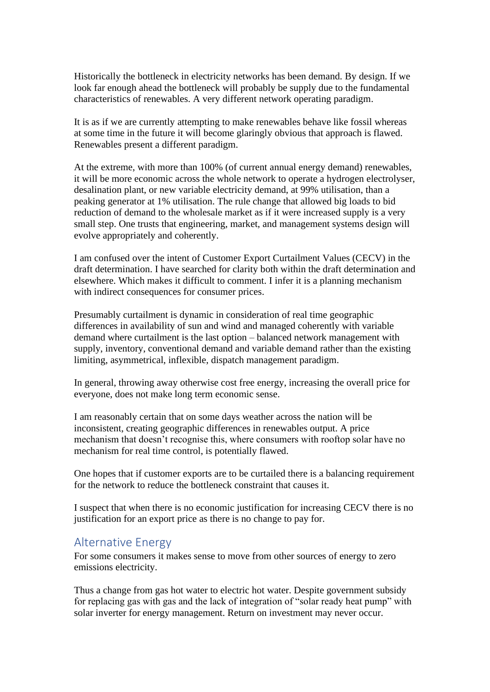Historically the bottleneck in electricity networks has been demand. By design. If we look far enough ahead the bottleneck will probably be supply due to the fundamental characteristics of renewables. A very different network operating paradigm.

It is as if we are currently attempting to make renewables behave like fossil whereas at some time in the future it will become glaringly obvious that approach is flawed. Renewables present a different paradigm.

At the extreme, with more than 100% (of current annual energy demand) renewables, it will be more economic across the whole network to operate a hydrogen electrolyser, desalination plant, or new variable electricity demand, at 99% utilisation, than a peaking generator at 1% utilisation. The rule change that allowed big loads to bid reduction of demand to the wholesale market as if it were increased supply is a very small step. One trusts that engineering, market, and management systems design will evolve appropriately and coherently.

I am confused over the intent of Customer Export Curtailment Values (CECV) in the draft determination. I have searched for clarity both within the draft determination and elsewhere. Which makes it difficult to comment. I infer it is a planning mechanism with indirect consequences for consumer prices.

Presumably curtailment is dynamic in consideration of real time geographic differences in availability of sun and wind and managed coherently with variable demand where curtailment is the last option – balanced network management with supply, inventory, conventional demand and variable demand rather than the existing limiting, asymmetrical, inflexible, dispatch management paradigm.

In general, throwing away otherwise cost free energy, increasing the overall price for everyone, does not make long term economic sense.

I am reasonably certain that on some days weather across the nation will be inconsistent, creating geographic differences in renewables output. A price mechanism that doesn't recognise this, where consumers with rooftop solar have no mechanism for real time control, is potentially flawed.

One hopes that if customer exports are to be curtailed there is a balancing requirement for the network to reduce the bottleneck constraint that causes it.

I suspect that when there is no economic justification for increasing CECV there is no justification for an export price as there is no change to pay for.

## Alternative Energy

For some consumers it makes sense to move from other sources of energy to zero emissions electricity.

Thus a change from gas hot water to electric hot water. Despite government subsidy for replacing gas with gas and the lack of integration of "solar ready heat pump" with solar inverter for energy management. Return on investment may never occur.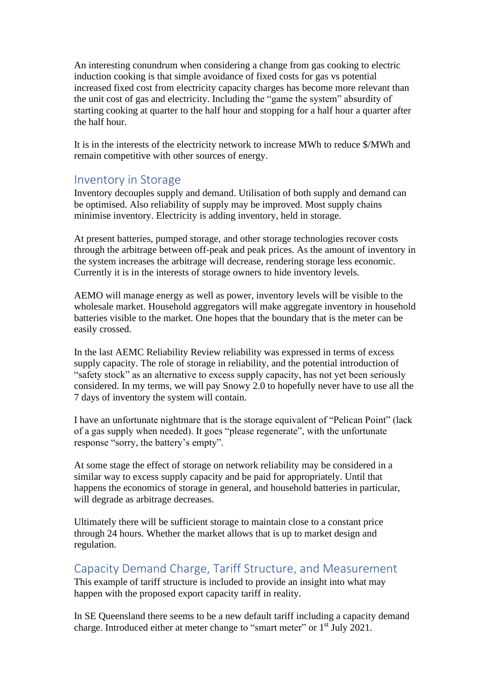An interesting conundrum when considering a change from gas cooking to electric induction cooking is that simple avoidance of fixed costs for gas vs potential increased fixed cost from electricity capacity charges has become more relevant than the unit cost of gas and electricity. Including the "game the system" absurdity of starting cooking at quarter to the half hour and stopping for a half hour a quarter after the half hour.

It is in the interests of the electricity network to increase MWh to reduce \$/MWh and remain competitive with other sources of energy.

## Inventory in Storage

Inventory decouples supply and demand. Utilisation of both supply and demand can be optimised. Also reliability of supply may be improved. Most supply chains minimise inventory. Electricity is adding inventory, held in storage.

At present batteries, pumped storage, and other storage technologies recover costs through the arbitrage between off-peak and peak prices. As the amount of inventory in the system increases the arbitrage will decrease, rendering storage less economic. Currently it is in the interests of storage owners to hide inventory levels.

AEMO will manage energy as well as power, inventory levels will be visible to the wholesale market. Household aggregators will make aggregate inventory in household batteries visible to the market. One hopes that the boundary that is the meter can be easily crossed.

In the last AEMC Reliability Review reliability was expressed in terms of excess supply capacity. The role of storage in reliability, and the potential introduction of "safety stock" as an alternative to excess supply capacity, has not yet been seriously considered. In my terms, we will pay Snowy 2.0 to hopefully never have to use all the 7 days of inventory the system will contain.

I have an unfortunate nightmare that is the storage equivalent of "Pelican Point" (lack of a gas supply when needed). It goes "please regenerate", with the unfortunate response "sorry, the battery's empty".

At some stage the effect of storage on network reliability may be considered in a similar way to excess supply capacity and be paid for appropriately. Until that happens the economics of storage in general, and household batteries in particular, will degrade as arbitrage decreases.

Ultimately there will be sufficient storage to maintain close to a constant price through 24 hours. Whether the market allows that is up to market design and regulation.

#### Capacity Demand Charge, Tariff Structure, and Measurement

This example of tariff structure is included to provide an insight into what may happen with the proposed export capacity tariff in reality.

In SE Queensland there seems to be a new default tariff including a capacity demand charge. Introduced either at meter change to "smart meter" or 1<sup>st</sup> July 2021.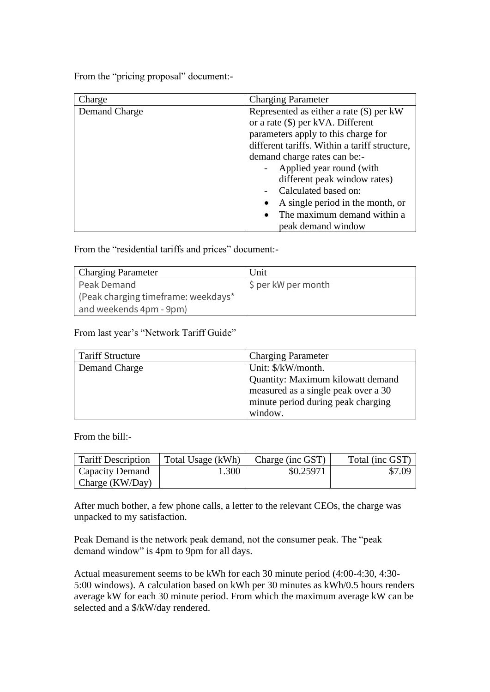From the "pricing proposal" document:-

| Charge        | <b>Charging Parameter</b>                     |  |
|---------------|-----------------------------------------------|--|
| Demand Charge | Represented as either a rate $(\$)$ per kW    |  |
|               | or a rate $(\$)$ per kVA. Different           |  |
|               | parameters apply to this charge for           |  |
|               | different tariffs. Within a tariff structure, |  |
|               | demand charge rates can be:-                  |  |
|               | Applied year round (with                      |  |
|               | different peak window rates)                  |  |
|               | Calculated based on:                          |  |
|               | A single period in the month, or              |  |
|               | The maximum demand within a                   |  |
|               | peak demand window                            |  |

From the "residential tariffs and prices" document:-

| <b>Charging Parameter</b>           | Unit                              |  |
|-------------------------------------|-----------------------------------|--|
| Peak Demand                         | $\frac{1}{2}$ \$ per kW per month |  |
| (Peak charging timeframe: weekdays* |                                   |  |
| and weekends 4pm - 9pm)             |                                   |  |

From last year's "Network Tariff Guide"

| <b>Tariff Structure</b> | <b>Charging Parameter</b>           |  |
|-------------------------|-------------------------------------|--|
| Demand Charge           | Unit: \$/kW/month.                  |  |
|                         | Quantity: Maximum kilowatt demand   |  |
|                         | measured as a single peak over a 30 |  |
|                         | minute period during peak charging  |  |
|                         | window.                             |  |

From the bill:-

| Tariff Description      | Total Usage (kWh) | Charge (inc GST) | Total (inc GST) |
|-------------------------|-------------------|------------------|-----------------|
| Capacity Demand         | 1.300             | \$0.25971        | \$7.09          |
| $\vert$ Charge (KW/Day) |                   |                  |                 |

After much bother, a few phone calls, a letter to the relevant CEOs, the charge was unpacked to my satisfaction.

Peak Demand is the network peak demand, not the consumer peak. The "peak demand window" is 4pm to 9pm for all days.

Actual measurement seems to be kWh for each 30 minute period (4:00-4:30, 4:30- 5:00 windows). A calculation based on kWh per 30 minutes as kWh/0.5 hours renders average kW for each 30 minute period. From which the maximum average kW can be selected and a \$/kW/day rendered.